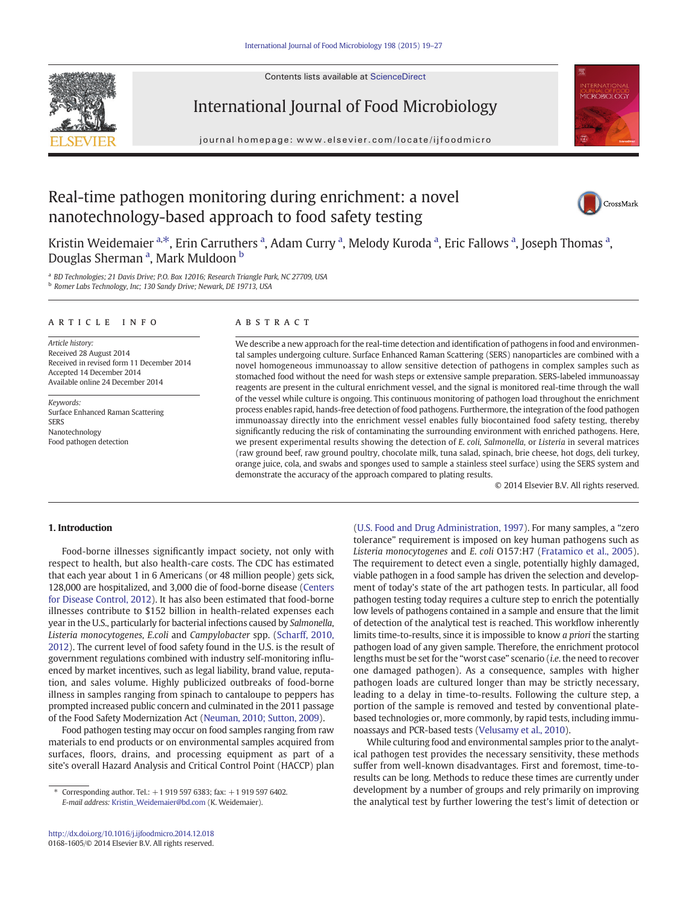Contents lists available at [ScienceDirect](http://www.sciencedirect.com/science/journal/01681605)





International Journal of Food Microbiology

journal homepage: www.elsevier.com/locate/ijfoodmicro

# Real-time pathogen monitoring during enrichment: a novel nanotechnology-based approach to food safety testing



Kristin Weidemaier <sup>a,\*</sup>, Erin Carruthers <sup>a</sup>, Adam Curry <sup>a</sup>, Melody Kuroda <sup>a</sup>, Eric Fallows <sup>a</sup>, Joseph Thomas <sup>a</sup>, Douglas Sherman <sup>a</sup>, Mark Muldoon <sup>b</sup>

<sup>a</sup> BD Technologies; 21 Davis Drive; P.O. Box 12016; Research Triangle Park, NC 27709, USA <sup>b</sup> Romer Labs Technology, Inc; 130 Sandy Drive; Newark, DE 19713, USA

#### article info abstract

Article history: Received 28 August 2014 Received in revised form 11 December 2014 Accepted 14 December 2014 Available online 24 December 2014

Keywords: Surface Enhanced Raman Scattering **SERS** Nanotechnology Food pathogen detection

We describe a new approach for the real-time detection and identification of pathogens in food and environmental samples undergoing culture. Surface Enhanced Raman Scattering (SERS) nanoparticles are combined with a novel homogeneous immunoassay to allow sensitive detection of pathogens in complex samples such as stomached food without the need for wash steps or extensive sample preparation. SERS-labeled immunoassay reagents are present in the cultural enrichment vessel, and the signal is monitored real-time through the wall of the vessel while culture is ongoing. This continuous monitoring of pathogen load throughout the enrichment process enables rapid, hands-free detection of food pathogens. Furthermore, the integration of the food pathogen immunoassay directly into the enrichment vessel enables fully biocontained food safety testing, thereby significantly reducing the risk of contaminating the surrounding environment with enriched pathogens. Here, we present experimental results showing the detection of E. coli, Salmonella, or Listeria in several matrices (raw ground beef, raw ground poultry, chocolate milk, tuna salad, spinach, brie cheese, hot dogs, deli turkey, orange juice, cola, and swabs and sponges used to sample a stainless steel surface) using the SERS system and demonstrate the accuracy of the approach compared to plating results.

© 2014 Elsevier B.V. All rights reserved.

#### 1. Introduction

Food-borne illnesses significantly impact society, not only with respect to health, but also health-care costs. The CDC has estimated that each year about 1 in 6 Americans (or 48 million people) gets sick, 128,000 are hospitalized, and 3,000 die of food-borne disease ([Centers](#page-8-0) [for Disease Control, 2012](#page-8-0)). It has also been estimated that food-borne illnesses contribute to \$152 billion in health-related expenses each year in the U.S., particularly for bacterial infections caused by Salmonella, Listeria monocytogenes, E.coli and Campylobacter spp. [\(Scharff, 2010,](#page-8-0) [2012](#page-8-0)). The current level of food safety found in the U.S. is the result of government regulations combined with industry self-monitoring influenced by market incentives, such as legal liability, brand value, reputation, and sales volume. Highly publicized outbreaks of food-borne illness in samples ranging from spinach to cantaloupe to peppers has prompted increased public concern and culminated in the 2011 passage of the Food Safety Modernization Act [\(Neuman, 2010; Sutton, 2009](#page-8-0)).

Food pathogen testing may occur on food samples ranging from raw materials to end products or on environmental samples acquired from surfaces, floors, drains, and processing equipment as part of a site's overall Hazard Analysis and Critical Control Point (HACCP) plan [\(U.S. Food and Drug Administration, 1997](#page-8-0)). For many samples, a "zero tolerance" requirement is imposed on key human pathogens such as Listeria monocytogenes and E. coli O157:H7 ([Fratamico et al., 2005](#page-8-0)). The requirement to detect even a single, potentially highly damaged, viable pathogen in a food sample has driven the selection and development of today's state of the art pathogen tests. In particular, all food pathogen testing today requires a culture step to enrich the potentially low levels of pathogens contained in a sample and ensure that the limit of detection of the analytical test is reached. This workflow inherently limits time-to-results, since it is impossible to know a priori the starting pathogen load of any given sample. Therefore, the enrichment protocol lengths must be set for the "worst case" scenario (*i.e.* the need to recover one damaged pathogen). As a consequence, samples with higher pathogen loads are cultured longer than may be strictly necessary, leading to a delay in time-to-results. Following the culture step, a portion of the sample is removed and tested by conventional platebased technologies or, more commonly, by rapid tests, including immunoassays and PCR-based tests ([Velusamy et al., 2010](#page-8-0)).

While culturing food and environmental samples prior to the analytical pathogen test provides the necessary sensitivity, these methods suffer from well-known disadvantages. First and foremost, time-toresults can be long. Methods to reduce these times are currently under development by a number of groups and rely primarily on improving the analytical test by further lowering the test's limit of detection or

<sup>⁎</sup> Corresponding author. Tel.: +1 919 597 6383; fax: +1 919 597 6402. E-mail address: [Kristin\\_Weidemaier@bd.com](mailto:Kristin_Weidemaier@bd.com) (K. Weidemaier).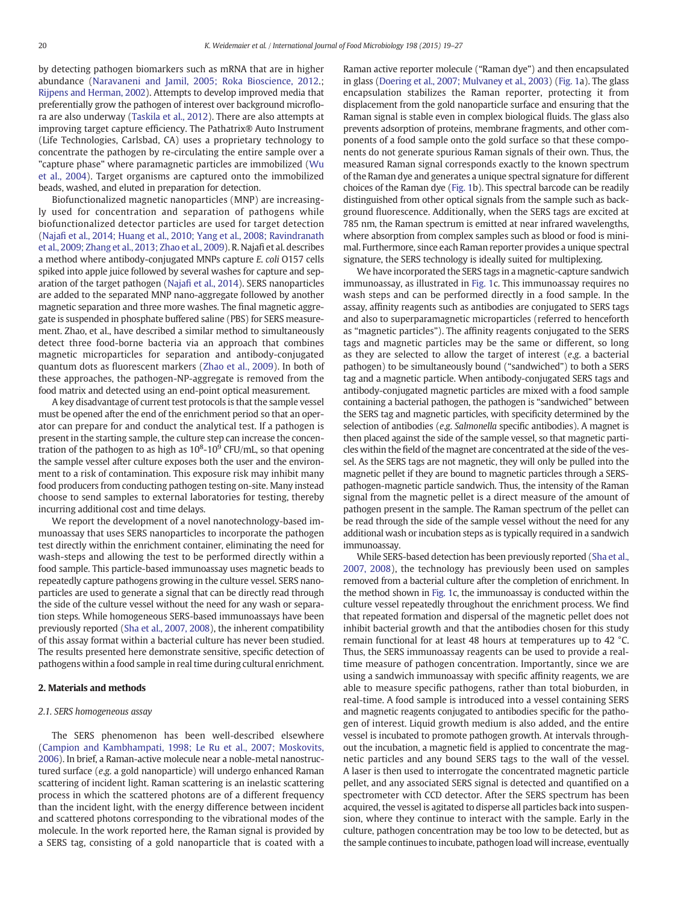by detecting pathogen biomarkers such as mRNA that are in higher abundance [\(Naravaneni and Jamil, 2005; Roka Bioscience, 2012](#page-8-0).; [Rijpens and Herman, 2002\)](#page-8-0). Attempts to develop improved media that preferentially grow the pathogen of interest over background microflora are also underway ([Taskila et al., 2012\)](#page-8-0). There are also attempts at improving target capture efficiency. The Pathatrix® Auto Instrument (Life Technologies, Carlsbad, CA) uses a proprietary technology to concentrate the pathogen by re-circulating the entire sample over a "capture phase" where paramagnetic particles are immobilized ([Wu](#page-8-0) [et al., 2004](#page-8-0)). Target organisms are captured onto the immobilized beads, washed, and eluted in preparation for detection.

Biofunctionalized magnetic nanoparticles (MNP) are increasingly used for concentration and separation of pathogens while biofunctionalized detector particles are used for target detection (Najafi [et al., 2014; Huang et al., 2010; Yang et al., 2008; Ravindranath](#page-8-0) [et al., 2009; Zhang et al., 2013; Zhao et al., 2009\)](#page-8-0). R. Najafi et al. describes a method where antibody-conjugated MNPs capture E. coli O157 cells spiked into apple juice followed by several washes for capture and separation of the target pathogen (Najafi [et al., 2014](#page-8-0)). SERS nanoparticles are added to the separated MNP nano-aggregate followed by another magnetic separation and three more washes. The final magnetic aggregate is suspended in phosphate buffered saline (PBS) for SERS measurement. Zhao, et al., have described a similar method to simultaneously detect three food-borne bacteria via an approach that combines magnetic microparticles for separation and antibody-conjugated quantum dots as fluorescent markers ([Zhao et al., 2009](#page-8-0)). In both of these approaches, the pathogen-NP-aggregate is removed from the food matrix and detected using an end-point optical measurement.

A key disadvantage of current test protocols is that the sample vessel must be opened after the end of the enrichment period so that an operator can prepare for and conduct the analytical test. If a pathogen is present in the starting sample, the culture step can increase the concentration of the pathogen to as high as  $10^8$ -10<sup>9</sup> CFU/mL, so that opening the sample vessel after culture exposes both the user and the environment to a risk of contamination. This exposure risk may inhibit many food producers from conducting pathogen testing on-site. Many instead choose to send samples to external laboratories for testing, thereby incurring additional cost and time delays.

We report the development of a novel nanotechnology-based immunoassay that uses SERS nanoparticles to incorporate the pathogen test directly within the enrichment container, eliminating the need for wash-steps and allowing the test to be performed directly within a food sample. This particle-based immunoassay uses magnetic beads to repeatedly capture pathogens growing in the culture vessel. SERS nanoparticles are used to generate a signal that can be directly read through the side of the culture vessel without the need for any wash or separation steps. While homogeneous SERS-based immunoassays have been previously reported [\(Sha et al., 2007, 2008](#page-8-0)), the inherent compatibility of this assay format within a bacterial culture has never been studied. The results presented here demonstrate sensitive, specific detection of pathogens within a food sample in real time during cultural enrichment.

#### 2. Materials and methods

#### 2.1. SERS homogeneous assay

The SERS phenomenon has been well-described elsewhere [\(Campion and Kambhampati, 1998; Le Ru et al., 2007; Moskovits,](#page-8-0) [2006\)](#page-8-0). In brief, a Raman-active molecule near a noble-metal nanostructured surface (e.g. a gold nanoparticle) will undergo enhanced Raman scattering of incident light. Raman scattering is an inelastic scattering process in which the scattered photons are of a different frequency than the incident light, with the energy difference between incident and scattered photons corresponding to the vibrational modes of the molecule. In the work reported here, the Raman signal is provided by a SERS tag, consisting of a gold nanoparticle that is coated with a Raman active reporter molecule ("Raman dye") and then encapsulated in glass [\(Doering et al., 2007; Mulvaney et al., 2003](#page-8-0)) [\(Fig. 1](#page-2-0)a). The glass encapsulation stabilizes the Raman reporter, protecting it from displacement from the gold nanoparticle surface and ensuring that the Raman signal is stable even in complex biological fluids. The glass also prevents adsorption of proteins, membrane fragments, and other components of a food sample onto the gold surface so that these components do not generate spurious Raman signals of their own. Thus, the measured Raman signal corresponds exactly to the known spectrum of the Raman dye and generates a unique spectral signature for different choices of the Raman dye [\(Fig. 1](#page-2-0)b). This spectral barcode can be readily distinguished from other optical signals from the sample such as background fluorescence. Additionally, when the SERS tags are excited at 785 nm, the Raman spectrum is emitted at near infrared wavelengths, where absorption from complex samples such as blood or food is minimal. Furthermore, since each Raman reporter provides a unique spectral signature, the SERS technology is ideally suited for multiplexing.

We have incorporated the SERS tags in a magnetic-capture sandwich immunoassay, as illustrated in [Fig. 1c](#page-2-0). This immunoassay requires no wash steps and can be performed directly in a food sample. In the assay, affinity reagents such as antibodies are conjugated to SERS tags and also to superparamagnetic microparticles (referred to henceforth as "magnetic particles"). The affinity reagents conjugated to the SERS tags and magnetic particles may be the same or different, so long as they are selected to allow the target of interest (e.g. a bacterial pathogen) to be simultaneously bound ("sandwiched") to both a SERS tag and a magnetic particle. When antibody-conjugated SERS tags and antibody-conjugated magnetic particles are mixed with a food sample containing a bacterial pathogen, the pathogen is "sandwiched" between the SERS tag and magnetic particles, with specificity determined by the selection of antibodies (e.g. Salmonella specific antibodies). A magnet is then placed against the side of the sample vessel, so that magnetic particles within the field of the magnet are concentrated at the side of the vessel. As the SERS tags are not magnetic, they will only be pulled into the magnetic pellet if they are bound to magnetic particles through a SERSpathogen-magnetic particle sandwich. Thus, the intensity of the Raman signal from the magnetic pellet is a direct measure of the amount of pathogen present in the sample. The Raman spectrum of the pellet can be read through the side of the sample vessel without the need for any additional wash or incubation steps as is typically required in a sandwich immunoassay.

While SERS-based detection has been previously reported [\(Sha et al.,](#page-8-0) [2007, 2008\)](#page-8-0), the technology has previously been used on samples removed from a bacterial culture after the completion of enrichment. In the method shown in [Fig. 1c](#page-2-0), the immunoassay is conducted within the culture vessel repeatedly throughout the enrichment process. We find that repeated formation and dispersal of the magnetic pellet does not inhibit bacterial growth and that the antibodies chosen for this study remain functional for at least 48 hours at temperatures up to 42 °C. Thus, the SERS immunoassay reagents can be used to provide a realtime measure of pathogen concentration. Importantly, since we are using a sandwich immunoassay with specific affinity reagents, we are able to measure specific pathogens, rather than total bioburden, in real-time. A food sample is introduced into a vessel containing SERS and magnetic reagents conjugated to antibodies specific for the pathogen of interest. Liquid growth medium is also added, and the entire vessel is incubated to promote pathogen growth. At intervals throughout the incubation, a magnetic field is applied to concentrate the magnetic particles and any bound SERS tags to the wall of the vessel. A laser is then used to interrogate the concentrated magnetic particle pellet, and any associated SERS signal is detected and quantified on a spectrometer with CCD detector. After the SERS spectrum has been acquired, the vessel is agitated to disperse all particles back into suspension, where they continue to interact with the sample. Early in the culture, pathogen concentration may be too low to be detected, but as the sample continues to incubate, pathogen load will increase, eventually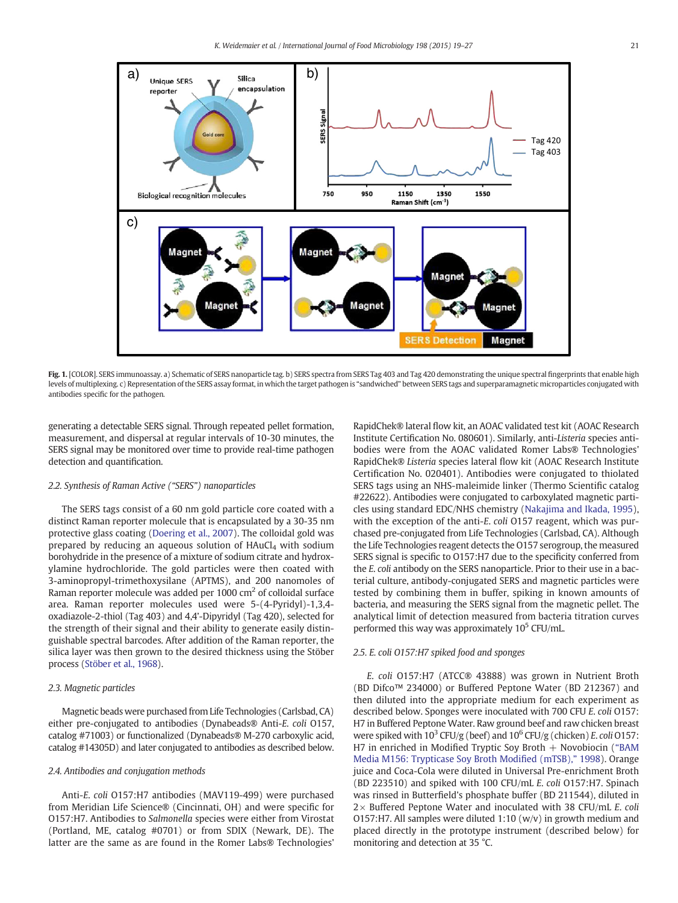<span id="page-2-0"></span>

Fig. 1. [COLOR]. SERS immunoassay. a) Schematic of SERS nanoparticle tag. b) SERS spectra from SERS Tag 403 and Tag 420 demonstrating the unique spectral fingerprints that enable high levels of multiplexing. c) Representation of the SERS assay format, in which the target pathogen is "sandwiched" between SERS tags and superparamagnetic microparticles conjugated with antibodies specific for the pathogen.

generating a detectable SERS signal. Through repeated pellet formation, measurement, and dispersal at regular intervals of 10-30 minutes, the SERS signal may be monitored over time to provide real-time pathogen detection and quantification.

#### 2.2. Synthesis of Raman Active ("SERS") nanoparticles

The SERS tags consist of a 60 nm gold particle core coated with a distinct Raman reporter molecule that is encapsulated by a 30-35 nm protective glass coating [\(Doering et al., 2007](#page-8-0)). The colloidal gold was prepared by reducing an aqueous solution of  $HAuCl<sub>4</sub>$  with sodium borohydride in the presence of a mixture of sodium citrate and hydroxylamine hydrochloride. The gold particles were then coated with 3-aminopropyl-trimethoxysilane (APTMS), and 200 nanomoles of Raman reporter molecule was added per 1000  $\text{cm}^2$  of colloidal surface area. Raman reporter molecules used were 5-(4-Pyridyl)-1,3,4 oxadiazole-2-thiol (Tag 403) and 4,4'-Dipyridyl (Tag 420), selected for the strength of their signal and their ability to generate easily distinguishable spectral barcodes. After addition of the Raman reporter, the silica layer was then grown to the desired thickness using the Stöber process ([Stöber et al., 1968](#page-8-0)).

#### 2.3. Magnetic particles

Magnetic beads were purchased from Life Technologies (Carlsbad, CA) either pre-conjugated to antibodies (Dynabeads® Anti-E. coli O157, catalog #71003) or functionalized (Dynabeads® M-270 carboxylic acid, catalog #14305D) and later conjugated to antibodies as described below.

#### 2.4. Antibodies and conjugation methods

Anti-E. coli O157:H7 antibodies (MAV119-499) were purchased from Meridian Life Science® (Cincinnati, OH) and were specific for O157:H7. Antibodies to Salmonella species were either from Virostat (Portland, ME, catalog #0701) or from SDIX (Newark, DE). The latter are the same as are found in the Romer Labs® Technologies'

RapidChek® lateral flow kit, an AOAC validated test kit (AOAC Research Institute Certification No. 080601). Similarly, anti-Listeria species antibodies were from the AOAC validated Romer Labs® Technologies' RapidChek® Listeria species lateral flow kit (AOAC Research Institute Certification No. 020401). Antibodies were conjugated to thiolated SERS tags using an NHS-maleimide linker (Thermo Scientific catalog #22622). Antibodies were conjugated to carboxylated magnetic particles using standard EDC/NHS chemistry [\(Nakajima and Ikada, 1995](#page-8-0)), with the exception of the anti-E, coli 0157 reagent, which was purchased pre-conjugated from Life Technologies (Carlsbad, CA). Although the Life Technologies reagent detects the O157 serogroup, the measured SERS signal is specific to O157:H7 due to the specificity conferred from the E. coli antibody on the SERS nanoparticle. Prior to their use in a bacterial culture, antibody-conjugated SERS and magnetic particles were tested by combining them in buffer, spiking in known amounts of bacteria, and measuring the SERS signal from the magnetic pellet. The analytical limit of detection measured from bacteria titration curves performed this way was approximately  $10^5$  CFU/mL.

#### 2.5. E. coli O157:H7 spiked food and sponges

E. coli O157:H7 (ATCC® 43888) was grown in Nutrient Broth (BD Difco™ 234000) or Buffered Peptone Water (BD 212367) and then diluted into the appropriate medium for each experiment as described below. Sponges were inoculated with 700 CFU E. coli O157: H7 in Buffered Peptone Water. Raw ground beef and raw chicken breast were spiked with  $10^3$  CFU/g (beef) and  $10^6$  CFU/g (chicken) *E. coli* 0157: H7 in enriched in Modified Tryptic Soy Broth + Novobiocin ("[BAM](#page-8-0) [Media M156: Trypticase Soy Broth Modi](#page-8-0)fied (mTSB)," 1998). Orange juice and Coca-Cola were diluted in Universal Pre-enrichment Broth (BD 223510) and spiked with 100 CFU/mL E. coli O157:H7. Spinach was rinsed in Butterfield's phosphate buffer (BD 211544), diluted in  $2 \times$  Buffered Peptone Water and inoculated with 38 CFU/mL E. coli O157:H7. All samples were diluted 1:10 (w/v) in growth medium and placed directly in the prototype instrument (described below) for monitoring and detection at 35 °C.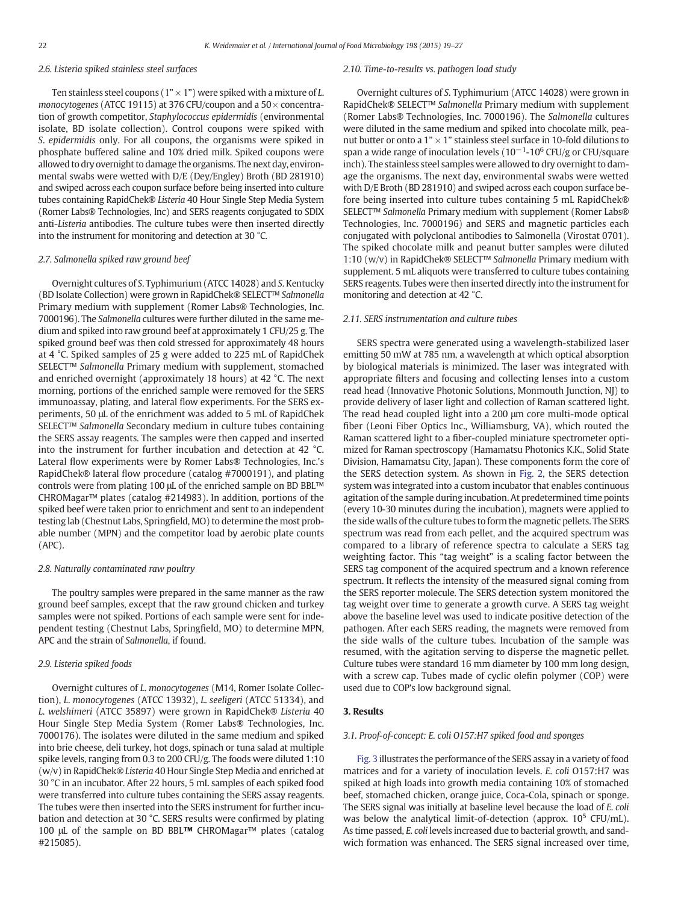#### 2.6. Listeria spiked stainless steel surfaces

Ten stainless steel coupons ( $1" \times 1"$ ) were spiked with a mixture of L. monocytogenes (ATCC 19115) at 376 CFU/coupon and a  $50\times$  concentration of growth competitor, Staphylococcus epidermidis (environmental isolate, BD isolate collection). Control coupons were spiked with S. epidermidis only. For all coupons, the organisms were spiked in phosphate buffered saline and 10% dried milk. Spiked coupons were allowed to dry overnight to damage the organisms. The next day, environmental swabs were wetted with D/E (Dey/Engley) Broth (BD 281910) and swiped across each coupon surface before being inserted into culture tubes containing RapidChek® Listeria 40 Hour Single Step Media System (Romer Labs® Technologies, Inc) and SERS reagents conjugated to SDIX anti-Listeria antibodies. The culture tubes were then inserted directly into the instrument for monitoring and detection at 30 °C.

#### 2.7. Salmonella spiked raw ground beef

Overnight cultures of S. Typhimurium (ATCC 14028) and S. Kentucky (BD Isolate Collection) were grown in RapidChek® SELECT™ Salmonella Primary medium with supplement (Romer Labs® Technologies, Inc. 7000196). The Salmonella cultures were further diluted in the same medium and spiked into raw ground beef at approximately 1 CFU/25 g. The spiked ground beef was then cold stressed for approximately 48 hours at 4 °C. Spiked samples of 25 g were added to 225 mL of RapidChek SELECT™ Salmonella Primary medium with supplement, stomached and enriched overnight (approximately 18 hours) at 42 °C. The next morning, portions of the enriched sample were removed for the SERS immunoassay, plating, and lateral flow experiments. For the SERS experiments, 50 μL of the enrichment was added to 5 mL of RapidChek SELECT™ Salmonella Secondary medium in culture tubes containing the SERS assay reagents. The samples were then capped and inserted into the instrument for further incubation and detection at 42 °C. Lateral flow experiments were by Romer Labs® Technologies, Inc.'s RapidChek® lateral flow procedure (catalog #7000191), and plating controls were from plating 100 μL of the enriched sample on BD BBL™ CHROMagar™ plates (catalog #214983). In addition, portions of the spiked beef were taken prior to enrichment and sent to an independent testing lab (Chestnut Labs, Springfield, MO) to determine the most probable number (MPN) and the competitor load by aerobic plate counts (APC).

#### 2.8. Naturally contaminated raw poultry

The poultry samples were prepared in the same manner as the raw ground beef samples, except that the raw ground chicken and turkey samples were not spiked. Portions of each sample were sent for independent testing (Chestnut Labs, Springfield, MO) to determine MPN, APC and the strain of Salmonella, if found.

#### 2.9. Listeria spiked foods

Overnight cultures of L. monocytogenes (M14, Romer Isolate Collection), L. monocytogenes (ATCC 13932), L. seeligeri (ATCC 51334), and L. welshimeri (ATCC 35897) were grown in RapidChek® Listeria 40 Hour Single Step Media System (Romer Labs® Technologies, Inc. 7000176). The isolates were diluted in the same medium and spiked into brie cheese, deli turkey, hot dogs, spinach or tuna salad at multiple spike levels, ranging from 0.3 to 200 CFU/g. The foods were diluted 1:10 (w/v) in RapidChek® Listeria 40 Hour Single Step Media and enriched at 30 °C in an incubator. After 22 hours, 5 mL samples of each spiked food were transferred into culture tubes containing the SERS assay reagents. The tubes were then inserted into the SERS instrument for further incubation and detection at 30 °C. SERS results were confirmed by plating 100 μL of the sample on BD BBL™ CHROMagar™ plates (catalog #215085).

#### 2.10. Time-to-results vs. pathogen load study

Overnight cultures of S. Typhimurium (ATCC 14028) were grown in RapidChek® SELECT™ Salmonella Primary medium with supplement (Romer Labs® Technologies, Inc. 7000196). The Salmonella cultures were diluted in the same medium and spiked into chocolate milk, peanut butter or onto a 1"  $\times$  1" stainless steel surface in 10-fold dilutions to span a wide range of inoculation levels (10<sup>-1</sup>-10<sup>6</sup> CFU/g or CFU/square inch). The stainless steel samples were allowed to dry overnight to damage the organisms. The next day, environmental swabs were wetted with D/E Broth (BD 281910) and swiped across each coupon surface before being inserted into culture tubes containing 5 mL RapidChek® SELECT™ Salmonella Primary medium with supplement (Romer Labs® Technologies, Inc. 7000196) and SERS and magnetic particles each conjugated with polyclonal antibodies to Salmonella (Virostat 0701). The spiked chocolate milk and peanut butter samples were diluted 1:10 (w/v) in RapidChek® SELECT™ Salmonella Primary medium with supplement. 5 mL aliquots were transferred to culture tubes containing SERS reagents. Tubes were then inserted directly into the instrument for monitoring and detection at 42 °C.

#### 2.11. SERS instrumentation and culture tubes

SERS spectra were generated using a wavelength-stabilized laser emitting 50 mW at 785 nm, a wavelength at which optical absorption by biological materials is minimized. The laser was integrated with appropriate filters and focusing and collecting lenses into a custom read head (Innovative Photonic Solutions, Monmouth Junction, NJ) to provide delivery of laser light and collection of Raman scattered light. The read head coupled light into a 200 μm core multi-mode optical fiber (Leoni Fiber Optics Inc., Williamsburg, VA), which routed the Raman scattered light to a fiber-coupled miniature spectrometer optimized for Raman spectroscopy (Hamamatsu Photonics K.K., Solid State Division, Hamamatsu City, Japan). These components form the core of the SERS detection system. As shown in [Fig. 2](#page-4-0), the SERS detection system was integrated into a custom incubator that enables continuous agitation of the sample during incubation. At predetermined time points (every 10-30 minutes during the incubation), magnets were applied to the side walls of the culture tubes to form the magnetic pellets. The SERS spectrum was read from each pellet, and the acquired spectrum was compared to a library of reference spectra to calculate a SERS tag weighting factor. This "tag weight" is a scaling factor between the SERS tag component of the acquired spectrum and a known reference spectrum. It reflects the intensity of the measured signal coming from the SERS reporter molecule. The SERS detection system monitored the tag weight over time to generate a growth curve. A SERS tag weight above the baseline level was used to indicate positive detection of the pathogen. After each SERS reading, the magnets were removed from the side walls of the culture tubes. Incubation of the sample was resumed, with the agitation serving to disperse the magnetic pellet. Culture tubes were standard 16 mm diameter by 100 mm long design, with a screw cap. Tubes made of cyclic olefin polymer (COP) were used due to COP's low background signal.

#### 3. Results

#### 3.1. Proof-of-concept: E. coli O157:H7 spiked food and sponges

[Fig. 3](#page-4-0) illustrates the performance of the SERS assay in a variety of food matrices and for a variety of inoculation levels. E. coli O157:H7 was spiked at high loads into growth media containing 10% of stomached beef, stomached chicken, orange juice, Coca-Cola, spinach or sponge. The SERS signal was initially at baseline level because the load of E. coli was below the analytical limit-of-detection (approx.  $10^5$  CFU/mL). As time passed, E. coli levels increased due to bacterial growth, and sandwich formation was enhanced. The SERS signal increased over time,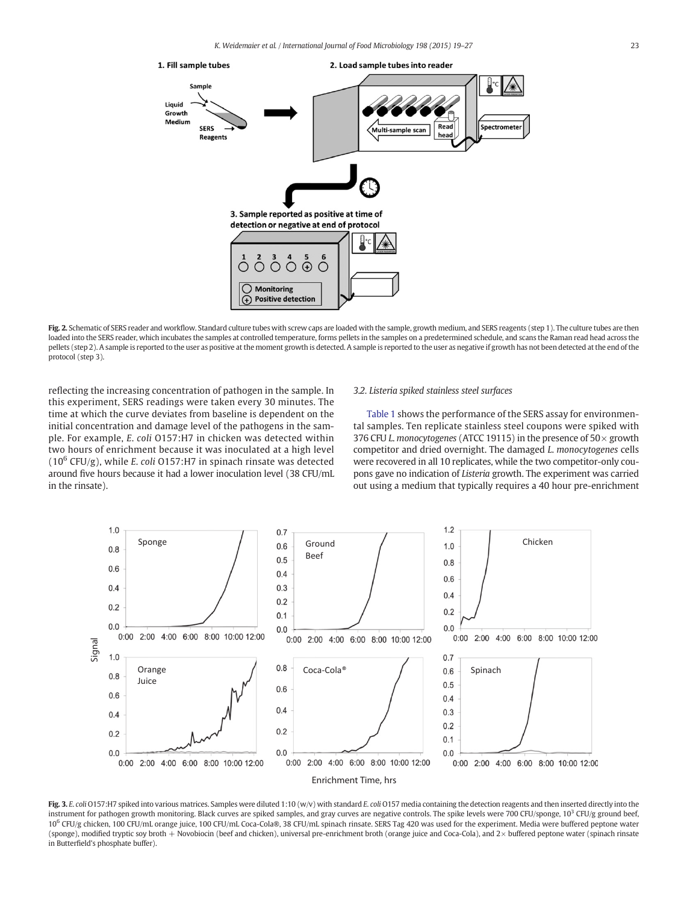<span id="page-4-0"></span>

Fig. 2. Schematic of SERS reader and workflow. Standard culture tubes with screw caps are loaded with the sample, growth medium, and SERS reagents (step 1). The culture tubes are then loaded into the SERS reader, which incubates the samples at controlled temperature, forms pellets in the samples on a predetermined schedule, and scans the Raman read head across the pellets (step 2). A sample is reported to the user as positive at the moment growth is detected. A sample is reported to the user as negative if growth has not been detected at the end of the protocol (step 3).

reflecting the increasing concentration of pathogen in the sample. In this experiment, SERS readings were taken every 30 minutes. The time at which the curve deviates from baseline is dependent on the initial concentration and damage level of the pathogens in the sample. For example, E. coli O157:H7 in chicken was detected within two hours of enrichment because it was inoculated at a high level ( $10^6$  CFU/g), while E. coli O157:H7 in spinach rinsate was detected around five hours because it had a lower inoculation level (38 CFU/mL in the rinsate).

#### 3.2. Listeria spiked stainless steel surfaces

[Table 1](#page-5-0) shows the performance of the SERS assay for environmental samples. Ten replicate stainless steel coupons were spiked with 376 CFU L. monocytogenes (ATCC 19115) in the presence of  $50\times$  growth competitor and dried overnight. The damaged L. monocytogenes cells were recovered in all 10 replicates, while the two competitor-only coupons gave no indication of Listeria growth. The experiment was carried out using a medium that typically requires a 40 hour pre-enrichment



Fig. 3. E. coli O157:H7 spiked into various matrices. Samples were diluted 1:10 (w/v) with standard E. coli O157 media containing the detection reagents and then inserted directly into the instrument for pathogen growth monitoring. Black curves are spiked samples, and gray curves are negative controls. The spike levels were 700 CFU/sponge, 10<sup>3</sup> CFU/g ground beef, 10<sup>6</sup> CFU/g chicken, 100 CFU/mL orange juice, 100 CFU/mL Coca-Cola®, 38 CFU/mL spinach rinsate. SERS Tag 420 was used for the experiment. Media were buffered peptone water (sponge), modified tryptic soy broth + Novobiocin (beef and chicken), universal pre-enrichment broth (orange juice and Coca-Cola), and 2× buffered peptone water (spinach rinsate in Butterfield's phosphate buffer).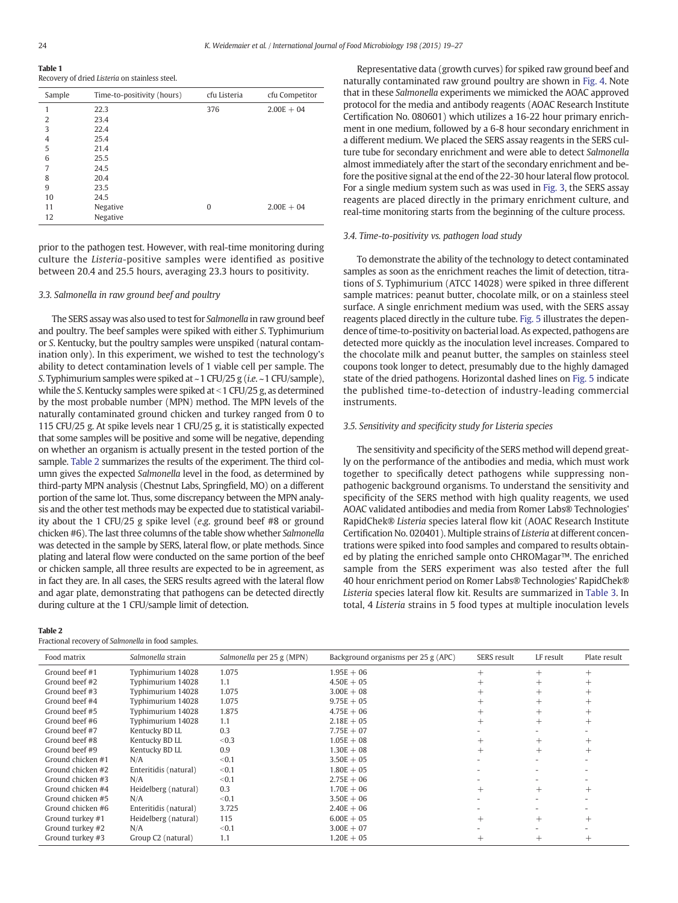<span id="page-5-0"></span>Table 1 Recovery of dried Listeria on stainless steel.

| Sample         | Time-to-positivity (hours) | cfu Listeria | cfu Competitor |
|----------------|----------------------------|--------------|----------------|
| 1              | 22.3                       | 376          | $2.00E + 04$   |
| $\overline{2}$ | 23.4                       |              |                |
| 3              | 22.4                       |              |                |
| 4              | 25.4                       |              |                |
| 5              | 21.4                       |              |                |
| 6              | 25.5                       |              |                |
| 7              | 24.5                       |              |                |
| 8              | 20.4                       |              |                |
| 9              | 23.5                       |              |                |
| 10             | 24.5                       |              |                |
| 11             | Negative                   | 0            | $2.00E + 04$   |
| 12             | Negative                   |              |                |
|                |                            |              |                |

prior to the pathogen test. However, with real-time monitoring during culture the Listeria-positive samples were identified as positive between 20.4 and 25.5 hours, averaging 23.3 hours to positivity.

#### 3.3. Salmonella in raw ground beef and poultry

The SERS assay was also used to test for Salmonella in raw ground beef and poultry. The beef samples were spiked with either S. Typhimurium or S. Kentucky, but the poultry samples were unspiked (natural contamination only). In this experiment, we wished to test the technology's ability to detect contamination levels of 1 viable cell per sample. The S. Typhimurium samples were spiked at ~1 CFU/25 g (i.e. ~1 CFU/sample), while the S. Kentucky samples were spiked at  $<$  1 CFU/25 g, as determined by the most probable number (MPN) method. The MPN levels of the naturally contaminated ground chicken and turkey ranged from 0 to 115 CFU/25 g. At spike levels near 1 CFU/25 g, it is statistically expected that some samples will be positive and some will be negative, depending on whether an organism is actually present in the tested portion of the sample. Table 2 summarizes the results of the experiment. The third column gives the expected Salmonella level in the food, as determined by third-party MPN analysis (Chestnut Labs, Springfield, MO) on a different portion of the same lot. Thus, some discrepancy between the MPN analysis and the other test methods may be expected due to statistical variability about the 1 CFU/25 g spike level (e.g. ground beef #8 or ground chicken #6). The last three columns of the table show whether Salmonella was detected in the sample by SERS, lateral flow, or plate methods. Since plating and lateral flow were conducted on the same portion of the beef or chicken sample, all three results are expected to be in agreement, as in fact they are. In all cases, the SERS results agreed with the lateral flow and agar plate, demonstrating that pathogens can be detected directly during culture at the 1 CFU/sample limit of detection.

#### Table 2

Fractional recovery of Salmonella in food samples.

Representative data (growth curves) for spiked raw ground beef and naturally contaminated raw ground poultry are shown in [Fig. 4](#page-6-0). Note that in these Salmonella experiments we mimicked the AOAC approved protocol for the media and antibody reagents (AOAC Research Institute Certification No. 080601) which utilizes a 16-22 hour primary enrichment in one medium, followed by a 6-8 hour secondary enrichment in a different medium. We placed the SERS assay reagents in the SERS culture tube for secondary enrichment and were able to detect Salmonella almost immediately after the start of the secondary enrichment and before the positive signal at the end of the 22-30 hour lateral flow protocol. For a single medium system such as was used in [Fig. 3](#page-4-0), the SERS assay reagents are placed directly in the primary enrichment culture, and real-time monitoring starts from the beginning of the culture process.

### 3.4. Time-to-positivity vs. pathogen load study

To demonstrate the ability of the technology to detect contaminated samples as soon as the enrichment reaches the limit of detection, titrations of S. Typhimurium (ATCC 14028) were spiked in three different sample matrices: peanut butter, chocolate milk, or on a stainless steel surface. A single enrichment medium was used, with the SERS assay reagents placed directly in the culture tube. [Fig. 5](#page-6-0) illustrates the dependence of time-to-positivity on bacterial load. As expected, pathogens are detected more quickly as the inoculation level increases. Compared to the chocolate milk and peanut butter, the samples on stainless steel coupons took longer to detect, presumably due to the highly damaged state of the dried pathogens. Horizontal dashed lines on [Fig. 5](#page-6-0) indicate the published time-to-detection of industry-leading commercial instruments.

#### 3.5. Sensitivity and specificity study for Listeria species

The sensitivity and specificity of the SERS method will depend greatly on the performance of the antibodies and media, which must work together to specifically detect pathogens while suppressing nonpathogenic background organisms. To understand the sensitivity and specificity of the SERS method with high quality reagents, we used AOAC validated antibodies and media from Romer Labs® Technologies' RapidChek® Listeria species lateral flow kit (AOAC Research Institute Certification No. 020401). Multiple strains of Listeria at different concentrations were spiked into food samples and compared to results obtained by plating the enriched sample onto CHROMagar™. The enriched sample from the SERS experiment was also tested after the full 40 hour enrichment period on Romer Labs® Technologies' RapidChek® Listeria species lateral flow kit. Results are summarized in [Table 3](#page-7-0). In total, 4 Listeria strains in 5 food types at multiple inoculation levels

| Food matrix       | Salmonella strain              | Salmonella per 25 g (MPN) | Background organisms per 25 g (APC) | SERS result | LF result                | Plate result             |
|-------------------|--------------------------------|---------------------------|-------------------------------------|-------------|--------------------------|--------------------------|
| Ground beef #1    | Typhimurium 14028              | 1.075                     | $1.95E + 06$                        | $^{+}$      | $^{+}$                   |                          |
| Ground beef #2    | Typhimurium 14028              | 1.1                       | $4.50E + 05$                        |             |                          |                          |
| Ground beef #3    | Typhimurium 14028              | 1.075                     | $3.00E + 08$                        |             |                          |                          |
| Ground beef #4    | Typhimurium 14028              | 1.075                     | $9.75E + 05$                        |             |                          | $^{+}$                   |
| Ground beef #5    | Typhimurium 14028              | 1.875                     | $4.75E + 06$                        | $^{+}$      | $^+$                     |                          |
| Ground beef #6    | Typhimurium 14028              | 1.1                       | $2.18E + 05$                        | $^{+}$      | $^{+}$                   | $^{+}$                   |
| Ground beef #7    | Kentucky BD LL                 | 0.3                       | $7.75E + 07$                        |             |                          |                          |
| Ground beef #8    | Kentucky BD LL                 | < 0.3                     | $1.05E + 08$                        | $^+$        | $^+$                     |                          |
| Ground beef #9    | Kentucky BD LL                 | 0.9                       | $1.30E + 08$                        |             | $^+$                     |                          |
| Ground chicken #1 | N/A                            | < 0.1                     | $3.50E + 05$                        |             |                          |                          |
| Ground chicken #2 | Enteritidis (natural)          | < 0.1                     | $1.80E + 05$                        |             |                          |                          |
| Ground chicken #3 | N/A                            | < 0.1                     | $2.75E + 06$                        |             |                          |                          |
| Ground chicken #4 | Heidelberg (natural)           | 0.3                       | $1.70E + 06$                        | $^{+}$      | $^{+}$                   | $^{+}$                   |
| Ground chicken #5 | N/A                            | < 0.1                     | $3.50E + 06$                        |             | $\overline{\phantom{0}}$ | $\overline{\phantom{0}}$ |
| Ground chicken #6 | Enteritidis (natural)          | 3.725                     | $2.40E + 06$                        |             |                          |                          |
| Ground turkey #1  | Heidelberg (natural)           | 115                       | $6.00E + 05$                        |             | $^{+}$                   | $^+$                     |
| Ground turkey #2  | N/A                            | < 0.1                     | $3.00E + 07$                        |             |                          |                          |
| Ground turkey #3  | Group C <sub>2</sub> (natural) | 1.1                       | $1.20E + 05$                        |             | $^+$                     | $^+$                     |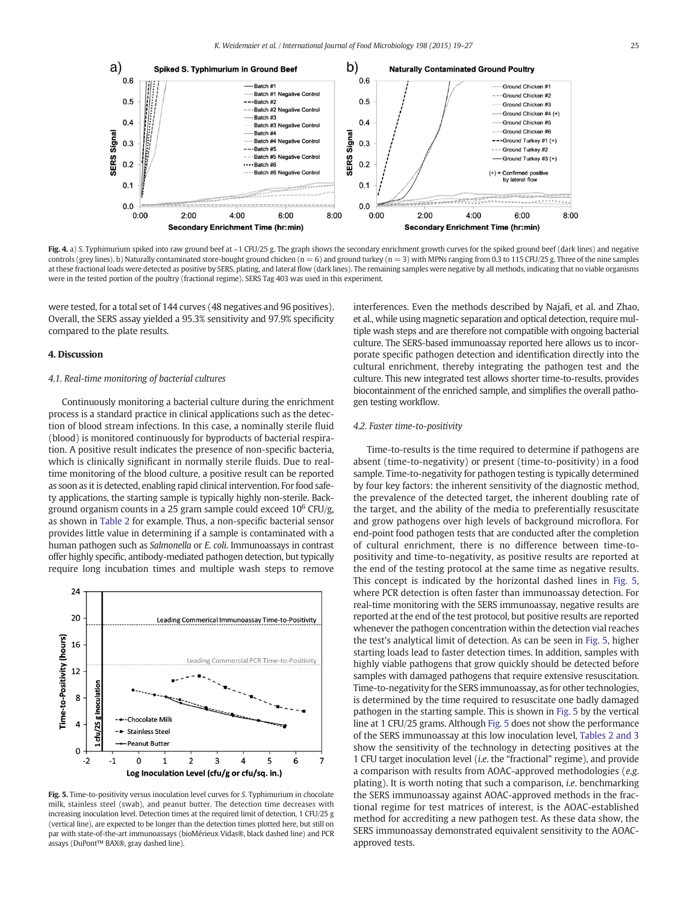<span id="page-6-0"></span>

Fig. 4. a) S. Typhimurium spiked into raw ground beef at ~1 CFU/25 g. The graph shows the secondary enrichment growth curves for the spiked ground beef (dark lines) and negative controls (grey lines). b) Naturally contaminated store-bought ground chicken ( $n = 6$ ) and ground turkey ( $n = 3$ ) with MPNs ranging from 0.3 to 115 CFU/25 g. Three of the nine samples at these fractional loads were detected as positive by SERS, plating, and lateral flow (dark lines). The remaining samples were negative by all methods, indicating that no viable organisms were in the tested portion of the poultry (fractional regime). SERS Tag 403 was used in this experiment.

were tested, for a total set of 144 curves (48 negatives and 96 positives). Overall, the SERS assay yielded a 95.3% sensitivity and 97.9% specificity compared to the plate results.

#### 4. Discussion

#### 4.1. Real-time monitoring of bacterial cultures

Continuously monitoring a bacterial culture during the enrichment process is a standard practice in clinical applications such as the detection of blood stream infections. In this case, a nominally sterile fluid (blood) is monitored continuously for byproducts of bacterial respiration. A positive result indicates the presence of non-specific bacteria, which is clinically significant in normally sterile fluids. Due to realtime monitoring of the blood culture, a positive result can be reported as soon as it is detected, enabling rapid clinical intervention. For food safety applications, the starting sample is typically highly non-sterile. Background organism counts in a 25 gram sample could exceed  $10^6$  CFU/g, as shown in [Table 2](#page-5-0) for example. Thus, a non-specific bacterial sensor provides little value in determining if a sample is contaminated with a human pathogen such as Salmonella or E. coli. Immunoassays in contrast offer highly specific, antibody-mediated pathogen detection, but typically require long incubation times and multiple wash steps to remove



Fig. 5. Time-to-positivity versus inoculation level curves for S. Typhimurium in chocolate milk, stainless steel (swab), and peanut butter. The detection time decreases with increasing inoculation level. Detection times at the required limit of detection, 1 CFU/25 g (vertical line), are expected to be longer than the detection times plotted here, but still on par with state-of-the-art immunoassays (bioMérieux Vidas®, black dashed line) and PCR assays (DuPont™ BAX®, gray dashed line).

interferences. Even the methods described by Najafi, et al. and Zhao, et al., while using magnetic separation and optical detection, require multiple wash steps and are therefore not compatible with ongoing bacterial culture. The SERS-based immunoassay reported here allows us to incorporate specific pathogen detection and identification directly into the cultural enrichment, thereby integrating the pathogen test and the culture. This new integrated test allows shorter time-to-results, provides biocontainment of the enriched sample, and simplifies the overall pathogen testing workflow.

#### 4.2. Faster time-to-positivity

Time-to-results is the time required to determine if pathogens are absent (time-to-negativity) or present (time-to-positivity) in a food sample. Time-to-negativity for pathogen testing is typically determined by four key factors: the inherent sensitivity of the diagnostic method, the prevalence of the detected target, the inherent doubling rate of the target, and the ability of the media to preferentially resuscitate and grow pathogens over high levels of background microflora. For end-point food pathogen tests that are conducted after the completion of cultural enrichment, there is no difference between time-topositivity and time-to-negativity, as positive results are reported at the end of the testing protocol at the same time as negative results. This concept is indicated by the horizontal dashed lines in Fig. 5, where PCR detection is often faster than immunoassay detection. For real-time monitoring with the SERS immunoassay, negative results are reported at the end of the test protocol, but positive results are reported whenever the pathogen concentration within the detection vial reaches the test's analytical limit of detection. As can be seen in Fig. 5, higher starting loads lead to faster detection times. In addition, samples with highly viable pathogens that grow quickly should be detected before samples with damaged pathogens that require extensive resuscitation. Time-to-negativity for the SERS immunoassay, as for other technologies, is determined by the time required to resuscitate one badly damaged pathogen in the starting sample. This is shown in Fig. 5 by the vertical line at 1 CFU/25 grams. Although Fig. 5 does not show the performance of the SERS immunoassay at this low inoculation level, [Tables 2 and 3](#page-5-0) show the sensitivity of the technology in detecting positives at the 1 CFU target inoculation level (i.e. the "fractional" regime), and provide a comparison with results from AOAC-approved methodologies (e.g. plating). It is worth noting that such a comparison, i.e. benchmarking the SERS immunoassay against AOAC-approved methods in the fractional regime for test matrices of interest, is the AOAC-established method for accrediting a new pathogen test. As these data show, the SERS immunoassay demonstrated equivalent sensitivity to the AOACapproved tests.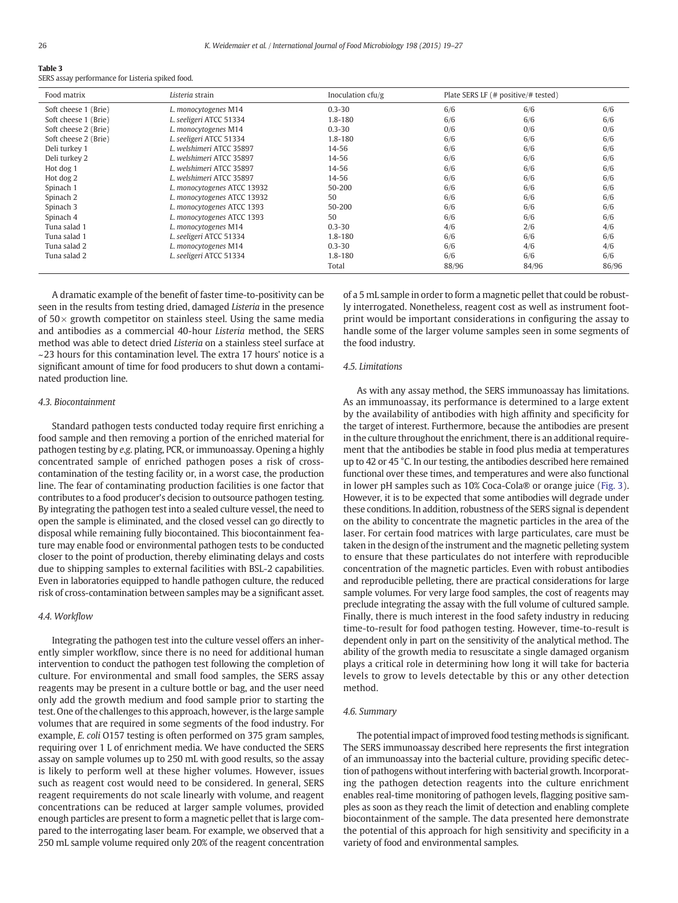## <span id="page-7-0"></span>Table 3

SERS assay performance for Listeria spiked food.

| Food matrix          | Listeria strain             | Inoculation cfu/g | Plate SERS LF (# positive/# tested) |       |       |
|----------------------|-----------------------------|-------------------|-------------------------------------|-------|-------|
| Soft cheese 1 (Brie) | L. monocytogenes M14        | $0.3 - 30$        | 6/6                                 | 6/6   | 6/6   |
| Soft cheese 1 (Brie) | L. seeligeri ATCC 51334     | 1.8-180           | 6/6                                 | 6/6   | 6/6   |
| Soft cheese 2 (Brie) | L. monocytogenes M14        | $0.3 - 30$        | 0/6                                 | 0/6   | 0/6   |
| Soft cheese 2 (Brie) | L. seeligeri ATCC 51334     | 1.8-180           | 6/6                                 | 6/6   | 6/6   |
| Deli turkey 1        | L. welshimeri ATCC 35897    | 14-56             | 6/6                                 | 6/6   | 6/6   |
| Deli turkey 2        | L. welshimeri ATCC 35897    | 14-56             | 6/6                                 | 6/6   | 6/6   |
| Hot dog 1            | L. welshimeri ATCC 35897    | 14-56             | 6/6                                 | 6/6   | 6/6   |
| Hot dog 2            | L. welshimeri ATCC 35897    | $14 - 56$         | 6/6                                 | 6/6   | 6/6   |
| Spinach 1            | L. monocytogenes ATCC 13932 | 50-200            | 6/6                                 | 6/6   | 6/6   |
| Spinach 2            | L. monocytogenes ATCC 13932 | 50                | 6/6                                 | 6/6   | 6/6   |
| Spinach 3            | L. monocytogenes ATCC 1393  | 50-200            | 6/6                                 | 6/6   | 6/6   |
| Spinach 4            | L. monocytogenes ATCC 1393  | 50                | 6/6                                 | 6/6   | 6/6   |
| Tuna salad 1         | L. monocytogenes M14        | $0.3 - 30$        | 4/6                                 | 2/6   | 4/6   |
| Tuna salad 1         | L. seeligeri ATCC 51334     | 1.8-180           | 6/6                                 | 6/6   | 6/6   |
| Tuna salad 2         | L. monocytogenes M14        | $0.3 - 30$        | 6/6                                 | 4/6   | 4/6   |
| Tuna salad 2         | L. seeligeri ATCC 51334     | 1.8-180           | 6/6                                 | 6/6   | 6/6   |
|                      |                             | Total             | 88/96                               | 84/96 | 86/96 |

A dramatic example of the benefit of faster time-to-positivity can be seen in the results from testing dried, damaged Listeria in the presence of  $50\times$  growth competitor on stainless steel. Using the same media and antibodies as a commercial 40-hour Listeria method, the SERS method was able to detect dried Listeria on a stainless steel surface at ~23 hours for this contamination level. The extra 17 hours' notice is a significant amount of time for food producers to shut down a contaminated production line.

#### 4.3. Biocontainment

Standard pathogen tests conducted today require first enriching a food sample and then removing a portion of the enriched material for pathogen testing by e.g. plating, PCR, or immunoassay. Opening a highly concentrated sample of enriched pathogen poses a risk of crosscontamination of the testing facility or, in a worst case, the production line. The fear of contaminating production facilities is one factor that contributes to a food producer's decision to outsource pathogen testing. By integrating the pathogen test into a sealed culture vessel, the need to open the sample is eliminated, and the closed vessel can go directly to disposal while remaining fully biocontained. This biocontainment feature may enable food or environmental pathogen tests to be conducted closer to the point of production, thereby eliminating delays and costs due to shipping samples to external facilities with BSL-2 capabilities. Even in laboratories equipped to handle pathogen culture, the reduced risk of cross-contamination between samples may be a significant asset.

#### 4.4. Workflow

Integrating the pathogen test into the culture vessel offers an inherently simpler workflow, since there is no need for additional human intervention to conduct the pathogen test following the completion of culture. For environmental and small food samples, the SERS assay reagents may be present in a culture bottle or bag, and the user need only add the growth medium and food sample prior to starting the test. One of the challenges to this approach, however, is the large sample volumes that are required in some segments of the food industry. For example, E. coli O157 testing is often performed on 375 gram samples, requiring over 1 L of enrichment media. We have conducted the SERS assay on sample volumes up to 250 mL with good results, so the assay is likely to perform well at these higher volumes. However, issues such as reagent cost would need to be considered. In general, SERS reagent requirements do not scale linearly with volume, and reagent concentrations can be reduced at larger sample volumes, provided enough particles are present to form a magnetic pellet that is large compared to the interrogating laser beam. For example, we observed that a 250 mL sample volume required only 20% of the reagent concentration

of a 5 mL sample in order to form a magnetic pellet that could be robustly interrogated. Nonetheless, reagent cost as well as instrument footprint would be important considerations in configuring the assay to handle some of the larger volume samples seen in some segments of the food industry.

#### 4.5. Limitations

As with any assay method, the SERS immunoassay has limitations. As an immunoassay, its performance is determined to a large extent by the availability of antibodies with high affinity and specificity for the target of interest. Furthermore, because the antibodies are present in the culture throughout the enrichment, there is an additional requirement that the antibodies be stable in food plus media at temperatures up to 42 or 45 °C. In our testing, the antibodies described here remained functional over these times, and temperatures and were also functional in lower pH samples such as 10% Coca-Cola® or orange juice [\(Fig. 3](#page-4-0)). However, it is to be expected that some antibodies will degrade under these conditions. In addition, robustness of the SERS signal is dependent on the ability to concentrate the magnetic particles in the area of the laser. For certain food matrices with large particulates, care must be taken in the design of the instrument and the magnetic pelleting system to ensure that these particulates do not interfere with reproducible concentration of the magnetic particles. Even with robust antibodies and reproducible pelleting, there are practical considerations for large sample volumes. For very large food samples, the cost of reagents may preclude integrating the assay with the full volume of cultured sample. Finally, there is much interest in the food safety industry in reducing time-to-result for food pathogen testing. However, time-to-result is dependent only in part on the sensitivity of the analytical method. The ability of the growth media to resuscitate a single damaged organism plays a critical role in determining how long it will take for bacteria levels to grow to levels detectable by this or any other detection method.

#### 4.6. Summary

The potential impact of improved food testing methods is significant. The SERS immunoassay described here represents the first integration of an immunoassay into the bacterial culture, providing specific detection of pathogens without interfering with bacterial growth. Incorporating the pathogen detection reagents into the culture enrichment enables real-time monitoring of pathogen levels, flagging positive samples as soon as they reach the limit of detection and enabling complete biocontainment of the sample. The data presented here demonstrate the potential of this approach for high sensitivity and specificity in a variety of food and environmental samples.